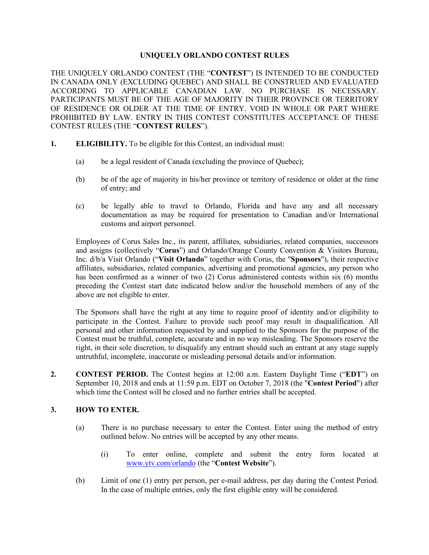#### **UNIQUELY ORLANDO CONTEST RULES**

THE UNIQUELY ORLANDO CONTEST (THE "**CONTEST**") IS INTENDED TO BE CONDUCTED IN CANADA ONLY (EXCLUDING QUEBEC) AND SHALL BE CONSTRUED AND EVALUATED ACCORDING TO APPLICABLE CANADIAN LAW. NO PURCHASE IS NECESSARY. PARTICIPANTS MUST BE OF THE AGE OF MAJORITY IN THEIR PROVINCE OR TERRITORY OF RESIDENCE OR OLDER AT THE TIME OF ENTRY. VOID IN WHOLE OR PART WHERE PROHIBITED BY LAW. ENTRY IN THIS CONTEST CONSTITUTES ACCEPTANCE OF THESE CONTEST RULES (THE "**CONTEST RULES**").

- **1. ELIGIBILITY.** To be eligible for this Contest, an individual must:
	- (a) be a legal resident of Canada (excluding the province of Quebec);
	- (b) be of the age of majority in his/her province or territory of residence or older at the time of entry; and
	- (c) be legally able to travel to Orlando, Florida and have any and all necessary documentation as may be required for presentation to Canadian and/or International customs and airport personnel.

Employees of Corus Sales Inc., its parent, affiliates, subsidiaries, related companies, successors and assigns (collectively "**Corus**") and Orlando/Orange County Convention & Visitors Bureau, Inc. d/b/a Visit Orlando ("**Visit Orlando**" together with Corus, the "**Sponsors**"), their respective affiliates, subsidiaries, related companies, advertising and promotional agencies, any person who has been confirmed as a winner of two (2) Corus administered contests within six (6) months preceding the Contest start date indicated below and/or the household members of any of the above are not eligible to enter.

The Sponsors shall have the right at any time to require proof of identity and/or eligibility to participate in the Contest. Failure to provide such proof may result in disqualification. All personal and other information requested by and supplied to the Sponsors for the purpose of the Contest must be truthful, complete, accurate and in no way misleading. The Sponsors reserve the right, in their sole discretion, to disqualify any entrant should such an entrant at any stage supply untruthful, incomplete, inaccurate or misleading personal details and/or information.

**2. CONTEST PERIOD.** The Contest begins at 12:00 a.m. Eastern Daylight Time ("**EDT**") on September 10, 2018 and ends at 11:59 p.m. EDT on October 7, 2018 (the "**Contest Period**") after which time the Contest will be closed and no further entries shall be accepted.

## **3. HOW TO ENTER.**

- (a) There is no purchase necessary to enter the Contest. Enter using the method of entry outlined below. No entries will be accepted by any other means.
	- (i) To enter online, complete and submit the entry form located at www.ytv.com/orlando (the "**Contest Website**").
- (b) Limit of one (1) entry per person, per e-mail address, per day during the Contest Period. In the case of multiple entries, only the first eligible entry will be considered.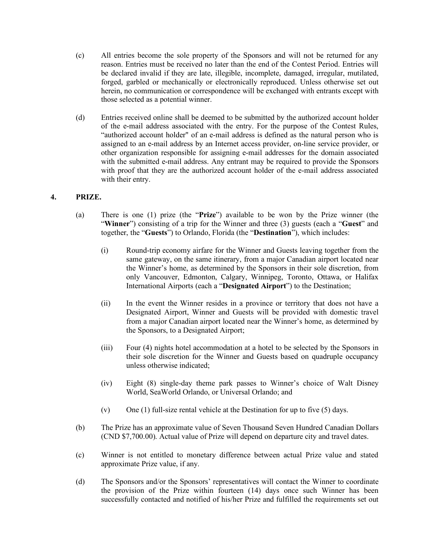- (c) All entries become the sole property of the Sponsors and will not be returned for any reason. Entries must be received no later than the end of the Contest Period. Entries will be declared invalid if they are late, illegible, incomplete, damaged, irregular, mutilated, forged, garbled or mechanically or electronically reproduced. Unless otherwise set out herein, no communication or correspondence will be exchanged with entrants except with those selected as a potential winner.
- (d) Entries received online shall be deemed to be submitted by the authorized account holder of the e-mail address associated with the entry. For the purpose of the Contest Rules, "authorized account holder" of an e-mail address is defined as the natural person who is assigned to an e-mail address by an Internet access provider, on-line service provider, or other organization responsible for assigning e-mail addresses for the domain associated with the submitted e-mail address. Any entrant may be required to provide the Sponsors with proof that they are the authorized account holder of the e-mail address associated with their entry.

## **4. PRIZE.**

- (a) There is one (1) prize (the "**Prize**") available to be won by the Prize winner (the "**Winner**") consisting of a trip for the Winner and three (3) guests (each a "**Guest**" and together, the "**Guests**") to Orlando, Florida (the "**Destination**"), which includes:
	- (i) Round-trip economy airfare for the Winner and Guests leaving together from the same gateway, on the same itinerary, from a major Canadian airport located near the Winner's home, as determined by the Sponsors in their sole discretion, from only Vancouver, Edmonton, Calgary, Winnipeg, Toronto, Ottawa, or Halifax International Airports (each a "**Designated Airport**") to the Destination;
	- (ii) In the event the Winner resides in a province or territory that does not have a Designated Airport, Winner and Guests will be provided with domestic travel from a major Canadian airport located near the Winner's home, as determined by the Sponsors, to a Designated Airport;
	- (iii) Four (4) nights hotel accommodation at a hotel to be selected by the Sponsors in their sole discretion for the Winner and Guests based on quadruple occupancy unless otherwise indicated;
	- (iv) Eight (8) single-day theme park passes to Winner's choice of Walt Disney World, SeaWorld Orlando, or Universal Orlando; and
	- (v) One (1) full-size rental vehicle at the Destination for up to five  $(5)$  days.
- (b) The Prize has an approximate value of Seven Thousand Seven Hundred Canadian Dollars (CND \$7,700.00). Actual value of Prize will depend on departure city and travel dates.
- (c) Winner is not entitled to monetary difference between actual Prize value and stated approximate Prize value, if any.
- (d) The Sponsors and/or the Sponsors' representatives will contact the Winner to coordinate the provision of the Prize within fourteen (14) days once such Winner has been successfully contacted and notified of his/her Prize and fulfilled the requirements set out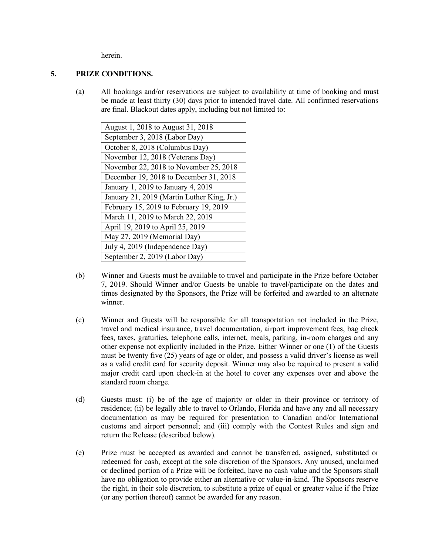herein.

# **5. PRIZE CONDITIONS.**

(a) All bookings and/or reservations are subject to availability at time of booking and must be made at least thirty (30) days prior to intended travel date. All confirmed reservations are final. Blackout dates apply, including but not limited to:

| August 1, 2018 to August 31, 2018          |
|--------------------------------------------|
| September 3, 2018 (Labor Day)              |
| October 8, 2018 (Columbus Day)             |
| November 12, 2018 (Veterans Day)           |
| November 22, 2018 to November 25, 2018     |
| December 19, 2018 to December 31, 2018     |
| January 1, 2019 to January 4, 2019         |
| January 21, 2019 (Martin Luther King, Jr.) |
| February 15, 2019 to February 19, 2019     |
| March 11, 2019 to March 22, 2019           |
| April 19, 2019 to April 25, 2019           |
| May 27, 2019 (Memorial Day)                |
| July 4, 2019 (Independence Day)            |
| September 2, 2019 (Labor Day)              |

- (b) Winner and Guests must be available to travel and participate in the Prize before October 7, 2019. Should Winner and/or Guests be unable to travel/participate on the dates and times designated by the Sponsors, the Prize will be forfeited and awarded to an alternate winner.
- (c) Winner and Guests will be responsible for all transportation not included in the Prize, travel and medical insurance, travel documentation, airport improvement fees, bag check fees, taxes, gratuities, telephone calls, internet, meals, parking, in-room charges and any other expense not explicitly included in the Prize. Either Winner or one (1) of the Guests must be twenty five (25) years of age or older, and possess a valid driver's license as well as a valid credit card for security deposit. Winner may also be required to present a valid major credit card upon check-in at the hotel to cover any expenses over and above the standard room charge.
- (d) Guests must: (i) be of the age of majority or older in their province or territory of residence; (ii) be legally able to travel to Orlando, Florida and have any and all necessary documentation as may be required for presentation to Canadian and/or International customs and airport personnel; and (iii) comply with the Contest Rules and sign and return the Release (described below).
- (e) Prize must be accepted as awarded and cannot be transferred, assigned, substituted or redeemed for cash, except at the sole discretion of the Sponsors. Any unused, unclaimed or declined portion of a Prize will be forfeited, have no cash value and the Sponsors shall have no obligation to provide either an alternative or value-in-kind. The Sponsors reserve the right, in their sole discretion, to substitute a prize of equal or greater value if the Prize (or any portion thereof) cannot be awarded for any reason.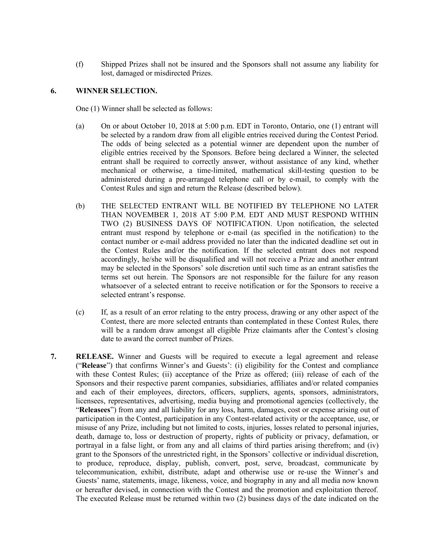(f) Shipped Prizes shall not be insured and the Sponsors shall not assume any liability for lost, damaged or misdirected Prizes.

### **6. WINNER SELECTION.**

One (1) Winner shall be selected as follows:

- (a) On or about October 10, 2018 at 5:00 p.m. EDT in Toronto, Ontario, one (1) entrant will be selected by a random draw from all eligible entries received during the Contest Period. The odds of being selected as a potential winner are dependent upon the number of eligible entries received by the Sponsors. Before being declared a Winner, the selected entrant shall be required to correctly answer, without assistance of any kind, whether mechanical or otherwise, a time-limited, mathematical skill-testing question to be administered during a pre-arranged telephone call or by e-mail, to comply with the Contest Rules and sign and return the Release (described below).
- (b) THE SELECTED ENTRANT WILL BE NOTIFIED BY TELEPHONE NO LATER THAN NOVEMBER 1, 2018 AT 5:00 P.M. EDT AND MUST RESPOND WITHIN TWO (2) BUSINESS DAYS OF NOTIFICATION. Upon notification, the selected entrant must respond by telephone or e-mail (as specified in the notification) to the contact number or e-mail address provided no later than the indicated deadline set out in the Contest Rules and/or the notification. If the selected entrant does not respond accordingly, he/she will be disqualified and will not receive a Prize and another entrant may be selected in the Sponsors' sole discretion until such time as an entrant satisfies the terms set out herein. The Sponsors are not responsible for the failure for any reason whatsoever of a selected entrant to receive notification or for the Sponsors to receive a selected entrant's response.
- (c) If, as a result of an error relating to the entry process, drawing or any other aspect of the Contest, there are more selected entrants than contemplated in these Contest Rules, there will be a random draw amongst all eligible Prize claimants after the Contest's closing date to award the correct number of Prizes.
- **7. RELEASE.** Winner and Guests will be required to execute a legal agreement and release ("**Release**") that confirms Winner's and Guests': (i) eligibility for the Contest and compliance with these Contest Rules; (ii) acceptance of the Prize as offered; (iii) release of each of the Sponsors and their respective parent companies, subsidiaries, affiliates and/or related companies and each of their employees, directors, officers, suppliers, agents, sponsors, administrators, licensees, representatives, advertising, media buying and promotional agencies (collectively, the "**Releasees**") from any and all liability for any loss, harm, damages, cost or expense arising out of participation in the Contest, participation in any Contest-related activity or the acceptance, use, or misuse of any Prize, including but not limited to costs, injuries, losses related to personal injuries, death, damage to, loss or destruction of property, rights of publicity or privacy, defamation, or portrayal in a false light, or from any and all claims of third parties arising therefrom; and (iv) grant to the Sponsors of the unrestricted right, in the Sponsors' collective or individual discretion, to produce, reproduce, display, publish, convert, post, serve, broadcast, communicate by telecommunication, exhibit, distribute, adapt and otherwise use or re-use the Winner's and Guests' name, statements, image, likeness, voice, and biography in any and all media now known or hereafter devised, in connection with the Contest and the promotion and exploitation thereof. The executed Release must be returned within two (2) business days of the date indicated on the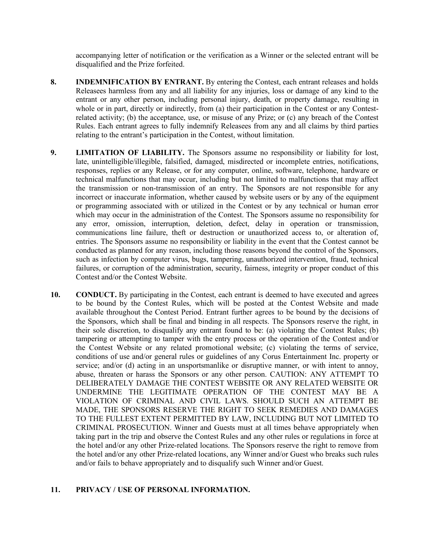accompanying letter of notification or the verification as a Winner or the selected entrant will be disqualified and the Prize forfeited.

- **8. INDEMNIFICATION BY ENTRANT.** By entering the Contest, each entrant releases and holds Releasees harmless from any and all liability for any injuries, loss or damage of any kind to the entrant or any other person, including personal injury, death, or property damage, resulting in whole or in part, directly or indirectly, from (a) their participation in the Contest or any Contestrelated activity; (b) the acceptance, use, or misuse of any Prize; or (c) any breach of the Contest Rules. Each entrant agrees to fully indemnify Releasees from any and all claims by third parties relating to the entrant's participation in the Contest, without limitation.
- **9. LIMITATION OF LIABILITY.** The Sponsors assume no responsibility or liability for lost, late, unintelligible/illegible, falsified, damaged, misdirected or incomplete entries, notifications, responses, replies or any Release, or for any computer, online, software, telephone, hardware or technical malfunctions that may occur, including but not limited to malfunctions that may affect the transmission or non-transmission of an entry. The Sponsors are not responsible for any incorrect or inaccurate information, whether caused by website users or by any of the equipment or programming associated with or utilized in the Contest or by any technical or human error which may occur in the administration of the Contest. The Sponsors assume no responsibility for any error, omission, interruption, deletion, defect, delay in operation or transmission, communications line failure, theft or destruction or unauthorized access to, or alteration of, entries. The Sponsors assume no responsibility or liability in the event that the Contest cannot be conducted as planned for any reason, including those reasons beyond the control of the Sponsors, such as infection by computer virus, bugs, tampering, unauthorized intervention, fraud, technical failures, or corruption of the administration, security, fairness, integrity or proper conduct of this Contest and/or the Contest Website.
- **10. CONDUCT.** By participating in the Contest, each entrant is deemed to have executed and agrees to be bound by the Contest Rules, which will be posted at the Contest Website and made available throughout the Contest Period. Entrant further agrees to be bound by the decisions of the Sponsors, which shall be final and binding in all respects. The Sponsors reserve the right, in their sole discretion, to disqualify any entrant found to be: (a) violating the Contest Rules; (b) tampering or attempting to tamper with the entry process or the operation of the Contest and/or the Contest Website or any related promotional website; (c) violating the terms of service, conditions of use and/or general rules or guidelines of any Corus Entertainment Inc. property or service; and/or (d) acting in an unsportsmanlike or disruptive manner, or with intent to annoy, abuse, threaten or harass the Sponsors or any other person. CAUTION: ANY ATTEMPT TO DELIBERATELY DAMAGE THE CONTEST WEBSITE OR ANY RELATED WEBSITE OR UNDERMINE THE LEGITIMATE OPERATION OF THE CONTEST MAY BE A VIOLATION OF CRIMINAL AND CIVIL LAWS. SHOULD SUCH AN ATTEMPT BE MADE, THE SPONSORS RESERVE THE RIGHT TO SEEK REMEDIES AND DAMAGES TO THE FULLEST EXTENT PERMITTED BY LAW, INCLUDING BUT NOT LIMITED TO CRIMINAL PROSECUTION. Winner and Guests must at all times behave appropriately when taking part in the trip and observe the Contest Rules and any other rules or regulations in force at the hotel and/or any other Prize-related locations. The Sponsors reserve the right to remove from the hotel and/or any other Prize-related locations, any Winner and/or Guest who breaks such rules and/or fails to behave appropriately and to disqualify such Winner and/or Guest.

### **11. PRIVACY / USE OF PERSONAL INFORMATION.**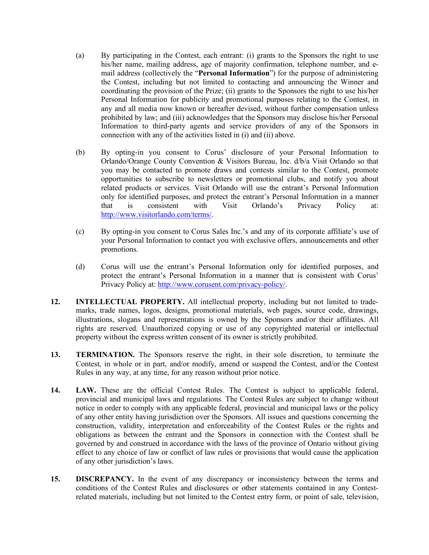- (a) By participating in the Contest, each entrant: (i) grants to the Sponsors the right to use his/her name, mailing address, age of majority confirmation, telephone number, and email address (collectively the "**Personal Information**") for the purpose of administering the Contest, including but not limited to contacting and announcing the Winner and coordinating the provision of the Prize; (ii) grants to the Sponsors the right to use his/her Personal Information for publicity and promotional purposes relating to the Contest, in any and all media now known or hereafter devised, without further compensation unless prohibited by law; and (iii) acknowledges that the Sponsors may disclose his/her Personal Information to third-party agents and service providers of any of the Sponsors in connection with any of the activities listed in (i) and (ii) above.
- (b) By opting-in you consent to Corus' disclosure of your Personal Information to Orlando/Orange County Convention & Visitors Bureau, Inc. d/b/a Visit Orlando so that you may be contacted to promote draws and contests similar to the Contest, promote opportunities to subscribe to newsletters or promotional clubs, and notify you about related products or services. Visit Orlando will use the entrant's Personal Information only for identified purposes, and protect the entrant's Personal Information in a manner that is consistent with Visit Orlando's Privacy Policy at: http://www.visitorlando.com/terms/.
- (c) By opting-in you consent to Corus Sales Inc.'s and any of its corporate affiliate's use of your Personal Information to contact you with exclusive offers, announcements and other promotions.
- (d) Corus will use the entrant's Personal Information only for identified purposes, and protect the entrant's Personal Information in a manner that is consistent with Corus' Privacy Policy at: http://www.corusent.com/privacy-policy/.
- **12. INTELLECTUAL PROPERTY.** All intellectual property, including but not limited to trademarks, trade names, logos, designs, promotional materials, web pages, source code, drawings, illustrations, slogans and representations is owned by the Sponsors and/or their affiliates. All rights are reserved. Unauthorized copying or use of any copyrighted material or intellectual property without the express written consent of its owner is strictly prohibited.
- **13. TERMINATION.** The Sponsors reserve the right, in their sole discretion, to terminate the Contest, in whole or in part, and/or modify, amend or suspend the Contest, and/or the Contest Rules in any way, at any time, for any reason without prior notice.
- **14. LAW.** These are the official Contest Rules. The Contest is subject to applicable federal, provincial and municipal laws and regulations. The Contest Rules are subject to change without notice in order to comply with any applicable federal, provincial and municipal laws or the policy of any other entity having jurisdiction over the Sponsors. All issues and questions concerning the construction, validity, interpretation and enforceability of the Contest Rules or the rights and obligations as between the entrant and the Sponsors in connection with the Contest shall be governed by and construed in accordance with the laws of the province of Ontario without giving effect to any choice of law or conflict of law rules or provisions that would cause the application of any other jurisdiction's laws.
- **15. DISCREPANCY.** In the event of any discrepancy or inconsistency between the terms and conditions of the Contest Rules and disclosures or other statements contained in any Contestrelated materials, including but not limited to the Contest entry form, or point of sale, television,